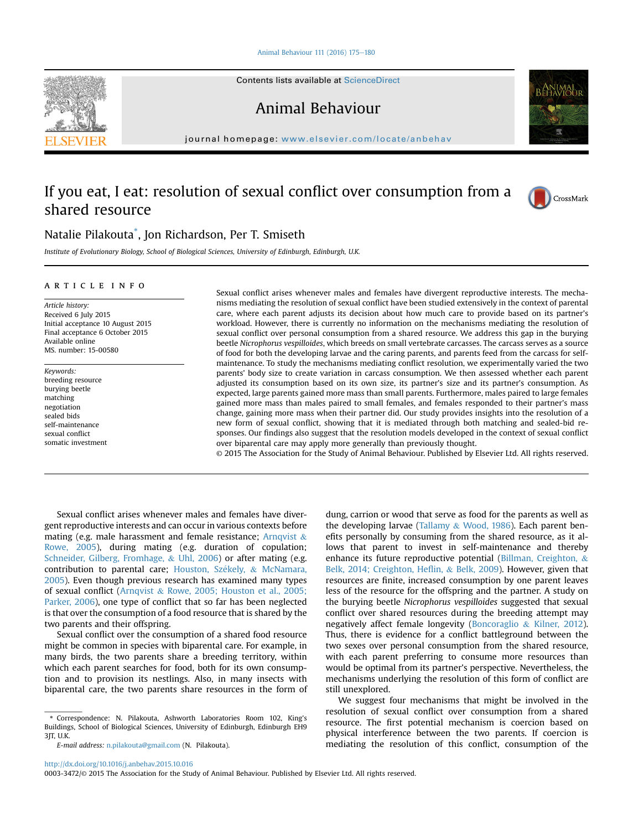#### [Animal Behaviour 111 \(2016\) 175](http://dx.doi.org/10.1016/j.anbehav.2015.10.016)-[180](http://dx.doi.org/10.1016/j.anbehav.2015.10.016)

Contents lists available at ScienceDirect

Animal Behaviour

journal homepage: [www.elsevier.com/locate/anbehav](http://www.elsevier.com/locate/anbehav)

# If you eat, I eat: resolution of sexual conflict over consumption from a shared resource



# Natalie Pilakouta\* , Jon Richardson, Per T. Smiseth

Institute of Evolutionary Biology, School of Biological Sciences, University of Edinburgh, Edinburgh, U.K.

#### article info

Article history: Received 6 July 2015 Initial acceptance 10 August 2015 Final acceptance 6 October 2015 Available online MS. number: 15-00580

Keywords: breeding resource burying beetle matching negotiation sealed bids self-maintenance sexual conflict somatic investment Sexual conflict arises whenever males and females have divergent reproductive interests. The mechanisms mediating the resolution of sexual conflict have been studied extensively in the context of parental care, where each parent adjusts its decision about how much care to provide based on its partner's workload. However, there is currently no information on the mechanisms mediating the resolution of sexual conflict over personal consumption from a shared resource. We address this gap in the burying beetle Nicrophorus vespilloides, which breeds on small vertebrate carcasses. The carcass serves as a source of food for both the developing larvae and the caring parents, and parents feed from the carcass for selfmaintenance. To study the mechanisms mediating conflict resolution, we experimentally varied the two parents' body size to create variation in carcass consumption. We then assessed whether each parent adjusted its consumption based on its own size, its partner's size and its partner's consumption. As expected, large parents gained more mass than small parents. Furthermore, males paired to large females gained more mass than males paired to small females, and females responded to their partner's mass change, gaining more mass when their partner did. Our study provides insights into the resolution of a new form of sexual conflict, showing that it is mediated through both matching and sealed-bid responses. Our findings also suggest that the resolution models developed in the context of sexual conflict over biparental care may apply more generally than previously thought.

© 2015 The Association for the Study of Animal Behaviour. Published by Elsevier Ltd. All rights reserved.

Sexual conflict arises whenever males and females have divergent reproductive interests and can occur in various contexts before mating (e.g. male harassment and female resistance; [Arnqvist](#page-4-0)  $\&$ [Rowe, 2005](#page-4-0)), during mating (e.g. duration of copulation; [Schneider, Gilberg, Fromhage,](#page-5-0) & [Uhl, 2006\)](#page-5-0) or after mating (e.g. contribution to parental care; Houston, Székely, & [McNamara,](#page-5-0) [2005\)](#page-5-0). Even though previous research has examined many types of sexual conflict ([Arnqvist](#page-4-0) & [Rowe, 2005; Houston et al., 2005;](#page-4-0) [Parker, 2006\)](#page-4-0), one type of conflict that so far has been neglected is that over the consumption of a food resource that is shared by the two parents and their offspring.

Sexual conflict over the consumption of a shared food resource might be common in species with biparental care. For example, in many birds, the two parents share a breeding territory, within which each parent searches for food, both for its own consumption and to provision its nestlings. Also, in many insects with biparental care, the two parents share resources in the form of

E-mail address: [n.pilakouta@gmail.com](mailto:n.pilakouta@gmail.com) (N. Pilakouta).

dung, carrion or wood that serve as food for the parents as well as the developing larvae [\(Tallamy](#page-5-0) & [Wood, 1986](#page-5-0)). Each parent benefits personally by consuming from the shared resource, as it allows that parent to invest in self-maintenance and thereby enhance its future reproductive potential [\(Billman, Creighton,](#page-4-0) & [Belk, 2014; Creighton, He](#page-4-0)flin, & [Belk, 2009\)](#page-4-0). However, given that resources are finite, increased consumption by one parent leaves less of the resource for the offspring and the partner. A study on the burying beetle Nicrophorus vespilloides suggested that sexual conflict over shared resources during the breeding attempt may negatively affect female longevity [\(Boncoraglio](#page-4-0) & [Kilner, 2012\)](#page-4-0). Thus, there is evidence for a conflict battleground between the two sexes over personal consumption from the shared resource, with each parent preferring to consume more resources than would be optimal from its partner's perspective. Nevertheless, the mechanisms underlying the resolution of this form of conflict are still unexplored.

We suggest four mechanisms that might be involved in the resolution of sexual conflict over consumption from a shared resource. The first potential mechanism is coercion based on physical interference between the two parents. If coercion is mediating the resolution of this conflict, consumption of the

<http://dx.doi.org/10.1016/j.anbehav.2015.10.016>

0003-3472/© 2015 The Association for the Study of Animal Behaviour. Published by Elsevier Ltd. All rights reserved.



<sup>\*</sup> Correspondence: N. Pilakouta, Ashworth Laboratories Room 102, King's Buildings, School of Biological Sciences, University of Edinburgh, Edinburgh EH9 3JT, U.K.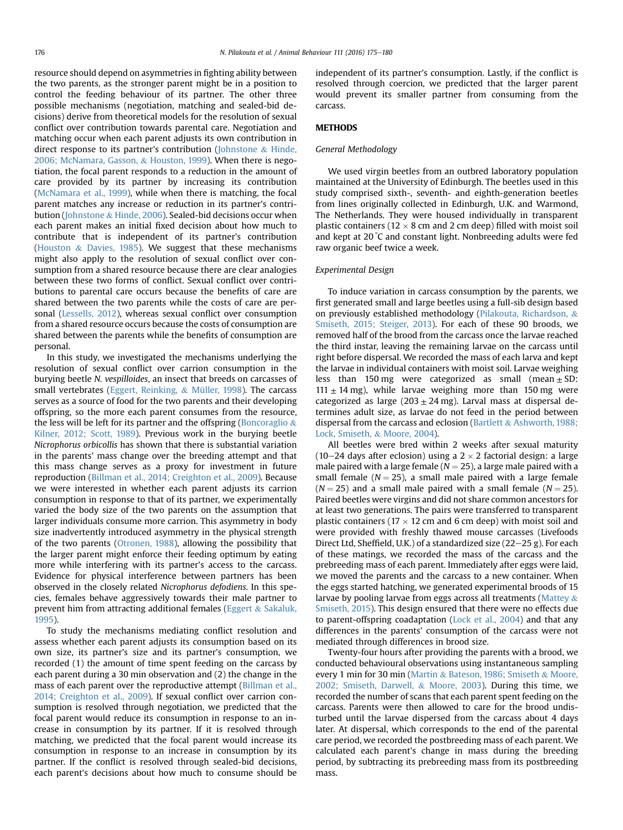resource should depend on asymmetries in fighting ability between the two parents, as the stronger parent might be in a position to control the feeding behaviour of its partner. The other three possible mechanisms (negotiation, matching and sealed-bid decisions) derive from theoretical models for the resolution of sexual conflict over contribution towards parental care. Negotiation and matching occur when each parent adjusts its own contribution in direct response to its partner's contribution ([Johnstone](#page-5-0) & [Hinde,](#page-5-0) [2006; McNamara, Gasson,](#page-5-0) & [Houston, 1999\)](#page-5-0). When there is negotiation, the focal parent responds to a reduction in the amount of care provided by its partner by increasing its contribution ([McNamara et al., 1999\)](#page-5-0), while when there is matching, the focal parent matches any increase or reduction in its partner's contribution [\(Johnstone](#page-5-0) & [Hinde, 2006](#page-5-0)). Sealed-bid decisions occur when each parent makes an initial fixed decision about how much to contribute that is independent of its partner's contribution ([Houston](#page-5-0)  $&$  [Davies, 1985](#page-5-0)). We suggest that these mechanisms might also apply to the resolution of sexual conflict over consumption from a shared resource because there are clear analogies between these two forms of conflict. Sexual conflict over contributions to parental care occurs because the benefits of care are shared between the two parents while the costs of care are personal [\(Lessells, 2012\)](#page-5-0), whereas sexual conflict over consumption from a shared resource occurs because the costs of consumption are shared between the parents while the benefits of consumption are personal.

In this study, we investigated the mechanisms underlying the resolution of sexual conflict over carrion consumption in the burying beetle N. vespilloides, an insect that breeds on carcasses of small vertebrates [\(Eggert, Reinking,](#page-4-0) & [Müller, 1998](#page-4-0)). The carcass serves as a source of food for the two parents and their developing offspring, so the more each parent consumes from the resource, the less will be left for its partner and the offspring ([Boncoraglio](#page-4-0)  $\&$ [Kilner, 2012; Scott, 1989\)](#page-4-0). Previous work in the burying beetle Nicrophorus orbicollis has shown that there is substantial variation in the parents' mass change over the breeding attempt and that this mass change serves as a proxy for investment in future reproduction ([Billman et al., 2014; Creighton et al., 2009](#page-4-0)). Because we were interested in whether each parent adjusts its carrion consumption in response to that of its partner, we experimentally varied the body size of the two parents on the assumption that larger individuals consume more carrion. This asymmetry in body size inadvertently introduced asymmetry in the physical strength of the two parents [\(Otronen, 1988](#page-5-0)), allowing the possibility that the larger parent might enforce their feeding optimum by eating more while interfering with its partner's access to the carcass. Evidence for physical interference between partners has been observed in the closely related Nicrophorus defodiens. In this species, females behave aggressively towards their male partner to prevent him from attracting additional females [\(Eggert](#page-4-0) & [Sakaluk,](#page-4-0) [1995](#page-4-0)).

To study the mechanisms mediating conflict resolution and assess whether each parent adjusts its consumption based on its own size, its partner's size and its partner's consumption, we recorded (1) the amount of time spent feeding on the carcass by each parent during a 30 min observation and (2) the change in the mass of each parent over the reproductive attempt ([Billman et al.,](#page-4-0) [2014; Creighton et al., 2009](#page-4-0)). If sexual conflict over carrion consumption is resolved through negotiation, we predicted that the focal parent would reduce its consumption in response to an increase in consumption by its partner. If it is resolved through matching, we predicted that the focal parent would increase its consumption in response to an increase in consumption by its partner. If the conflict is resolved through sealed-bid decisions, each parent's decisions about how much to consume should be independent of its partner's consumption. Lastly, if the conflict is resolved through coercion, we predicted that the larger parent would prevent its smaller partner from consuming from the carcass.

## **METHODS**

#### General Methodology

We used virgin beetles from an outbred laboratory population maintained at the University of Edinburgh. The beetles used in this study comprised sixth-, seventh- and eighth-generation beetles from lines originally collected in Edinburgh, U.K. and Warmond, The Netherlands. They were housed individually in transparent plastic containers (12  $\times$  8 cm and 2 cm deep) filled with moist soil and kept at 20 °C and constant light. Nonbreeding adults were fed raw organic beef twice a week.

#### Experimental Design

To induce variation in carcass consumption by the parents, we first generated small and large beetles using a full-sib design based on previously established methodology [\(Pilakouta, Richardson,](#page-5-0) & [Smiseth, 2015; Steiger, 2013](#page-5-0)). For each of these 90 broods, we removed half of the brood from the carcass once the larvae reached the third instar, leaving the remaining larvae on the carcass until right before dispersal. We recorded the mass of each larva and kept the larvae in individual containers with moist soil. Larvae weighing less than 150 mg were categorized as small (mean  $\pm$  SD:  $111 \pm 14$  mg), while larvae weighing more than 150 mg were categorized as large (203  $\pm$  24 mg). Larval mass at dispersal determines adult size, as larvae do not feed in the period between dispersal from the carcass and eclosion ([Bartlett](#page-4-0) & [Ashworth, 1988;](#page-4-0) [Lock, Smiseth,](#page-4-0) & [Moore, 2004](#page-4-0)).

All beetles were bred within 2 weeks after sexual maturity (10–24 days after eclosion) using a  $2 \times 2$  factorial design: a large male paired with a large female ( $N = 25$ ), a large male paired with a small female ( $N = 25$ ), a small male paired with a large female  $(N = 25)$  and a small male paired with a small female  $(N = 25)$ . Paired beetles were virgins and did not share common ancestors for at least two generations. The pairs were transferred to transparent plastic containers ( $17 \times 12$  cm and 6 cm deep) with moist soil and were provided with freshly thawed mouse carcasses (Livefoods Direct Ltd, Sheffield, U.K.) of a standardized size (22-25 g). For each of these matings, we recorded the mass of the carcass and the prebreeding mass of each parent. Immediately after eggs were laid, we moved the parents and the carcass to a new container. When the eggs started hatching, we generated experimental broods of 15 larvae by pooling larvae from eggs across all treatments ([Mattey](#page-5-0)  $\&$ [Smiseth, 2015](#page-5-0)). This design ensured that there were no effects due to parent-offspring coadaptation [\(Lock et al., 2004](#page-5-0)) and that any differences in the parents' consumption of the carcass were not mediated through differences in brood size.

Twenty-four hours after providing the parents with a brood, we conducted behavioural observations using instantaneous sampling every 1 min for 30 min ([Martin](#page-5-0) & [Bateson, 1986; Smiseth](#page-5-0) & [Moore,](#page-5-0) [2002; Smiseth, Darwell,](#page-5-0) & [Moore, 2003\)](#page-5-0). During this time, we recorded the number of scans that each parent spent feeding on the carcass. Parents were then allowed to care for the brood undisturbed until the larvae dispersed from the carcass about 4 days later. At dispersal, which corresponds to the end of the parental care period, we recorded the postbreeding mass of each parent. We calculated each parent's change in mass during the breeding period, by subtracting its prebreeding mass from its postbreeding mass.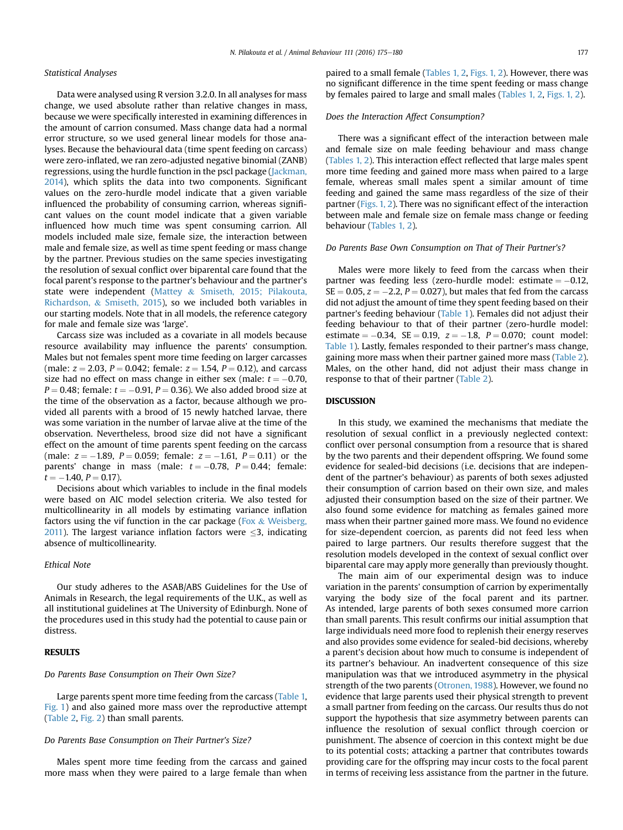#### Statistical Analyses

Data were analysed using R version 3.2.0. In all analyses for mass change, we used absolute rather than relative changes in mass, because we were specifically interested in examining differences in the amount of carrion consumed. Mass change data had a normal error structure, so we used general linear models for those analyses. Because the behavioural data (time spent feeding on carcass) were zero-inflated, we ran zero-adjusted negative binomial (ZANB) regressions, using the hurdle function in the pscl package ([Jackman,](#page-5-0) [2014\)](#page-5-0), which splits the data into two components. Significant values on the zero-hurdle model indicate that a given variable influenced the probability of consuming carrion, whereas significant values on the count model indicate that a given variable influenced how much time was spent consuming carrion. All models included male size, female size, the interaction between male and female size, as well as time spent feeding or mass change by the partner. Previous studies on the same species investigating the resolution of sexual conflict over biparental care found that the focal parent's response to the partner's behaviour and the partner's state were independent ([Mattey](#page-5-0) & [Smiseth, 2015; Pilakouta,](#page-5-0) [Richardson,](#page-5-0) & [Smiseth, 2015\)](#page-5-0), so we included both variables in our starting models. Note that in all models, the reference category for male and female size was 'large'.

Carcass size was included as a covariate in all models because resource availability may influence the parents' consumption. Males but not females spent more time feeding on larger carcasses (male:  $z = 2.03$ ,  $P = 0.042$ ; female:  $z = 1.54$ ,  $P = 0.12$ ), and carcass size had no effect on mass change in either sex (male:  $t = -0.70$ ,  $P = 0.48$ ; female:  $t = -0.91$ ,  $P = 0.36$ ). We also added brood size at the time of the observation as a factor, because although we provided all parents with a brood of 15 newly hatched larvae, there was some variation in the number of larvae alive at the time of the observation. Nevertheless, brood size did not have a significant effect on the amount of time parents spent feeding on the carcass (male:  $z = -1.89$ ,  $P = 0.059$ ; female:  $z = -1.61$ ,  $P = 0.11$ ) or the parents' change in mass (male:  $t = -0.78$ ,  $P = 0.44$ ; female:  $t = -1.40$ ,  $P = 0.17$ ).

Decisions about which variables to include in the final models were based on AIC model selection criteria. We also tested for multicollinearity in all models by estimating variance inflation factors using the vif function in the car package [\(Fox](#page-5-0)  $&$  [Weisberg,](#page-5-0) [2011](#page-5-0)). The largest variance inflation factors were  $\leq$ 3, indicating absence of multicollinearity.

# Ethical Note

Our study adheres to the ASAB/ABS Guidelines for the Use of Animals in Research, the legal requirements of the U.K., as well as all institutional guidelines at The University of Edinburgh. None of the procedures used in this study had the potential to cause pain or distress.

## RESULTS

#### Do Parents Base Consumption on Their Own Size?

Large parents spent more time feeding from the carcass ([Table 1,](#page-3-0) [Fig. 1\)](#page-3-0) and also gained more mass over the reproductive attempt ([Table 2,](#page-3-0) [Fig. 2](#page-3-0)) than small parents.

#### Do Parents Base Consumption on Their Partner's Size?

Males spent more time feeding from the carcass and gained more mass when they were paired to a large female than when paired to a small female [\(Tables 1, 2,](#page-3-0) [Figs. 1, 2\)](#page-3-0). However, there was no significant difference in the time spent feeding or mass change by females paired to large and small males ([Tables 1, 2,](#page-3-0) [Figs. 1, 2\)](#page-3-0).

#### Does the Interaction Affect Consumption?

There was a significant effect of the interaction between male and female size on male feeding behaviour and mass change ([Tables 1, 2\)](#page-3-0). This interaction effect reflected that large males spent more time feeding and gained more mass when paired to a large female, whereas small males spent a similar amount of time feeding and gained the same mass regardless of the size of their partner ([Figs. 1, 2](#page-3-0)). There was no significant effect of the interaction between male and female size on female mass change or feeding behaviour ([Tables 1, 2](#page-3-0)).

#### Do Parents Base Own Consumption on That of Their Partner's?

Males were more likely to feed from the carcass when their partner was feeding less (zero-hurdle model: estimate  $= -0.12$ ,  $SE = 0.05$ ,  $z = -2.2$ ,  $P = 0.027$ ), but males that fed from the carcass did not adjust the amount of time they spent feeding based on their partner's feeding behaviour ([Table 1\)](#page-3-0). Females did not adjust their feeding behaviour to that of their partner (zero-hurdle model: estimate  $= -0.34$ , SE  $= 0.19$ ,  $z = -1.8$ , P  $= 0.070$ ; count model: [Table 1\)](#page-3-0). Lastly, females responded to their partner's mass change, gaining more mass when their partner gained more mass [\(Table 2\)](#page-3-0). Males, on the other hand, did not adjust their mass change in response to that of their partner ([Table 2\)](#page-3-0).

#### **DISCUSSION**

In this study, we examined the mechanisms that mediate the resolution of sexual conflict in a previously neglected context: conflict over personal consumption from a resource that is shared by the two parents and their dependent offspring. We found some evidence for sealed-bid decisions (i.e. decisions that are independent of the partner's behaviour) as parents of both sexes adjusted their consumption of carrion based on their own size, and males adjusted their consumption based on the size of their partner. We also found some evidence for matching as females gained more mass when their partner gained more mass. We found no evidence for size-dependent coercion, as parents did not feed less when paired to large partners. Our results therefore suggest that the resolution models developed in the context of sexual conflict over biparental care may apply more generally than previously thought.

The main aim of our experimental design was to induce variation in the parents' consumption of carrion by experimentally varying the body size of the focal parent and its partner. As intended, large parents of both sexes consumed more carrion than small parents. This result confirms our initial assumption that large individuals need more food to replenish their energy reserves and also provides some evidence for sealed-bid decisions, whereby a parent's decision about how much to consume is independent of its partner's behaviour. An inadvertent consequence of this size manipulation was that we introduced asymmetry in the physical strength of the two parents ([Otronen, 1988](#page-5-0)). However, we found no evidence that large parents used their physical strength to prevent a small partner from feeding on the carcass. Our results thus do not support the hypothesis that size asymmetry between parents can influence the resolution of sexual conflict through coercion or punishment. The absence of coercion in this context might be due to its potential costs; attacking a partner that contributes towards providing care for the offspring may incur costs to the focal parent in terms of receiving less assistance from the partner in the future.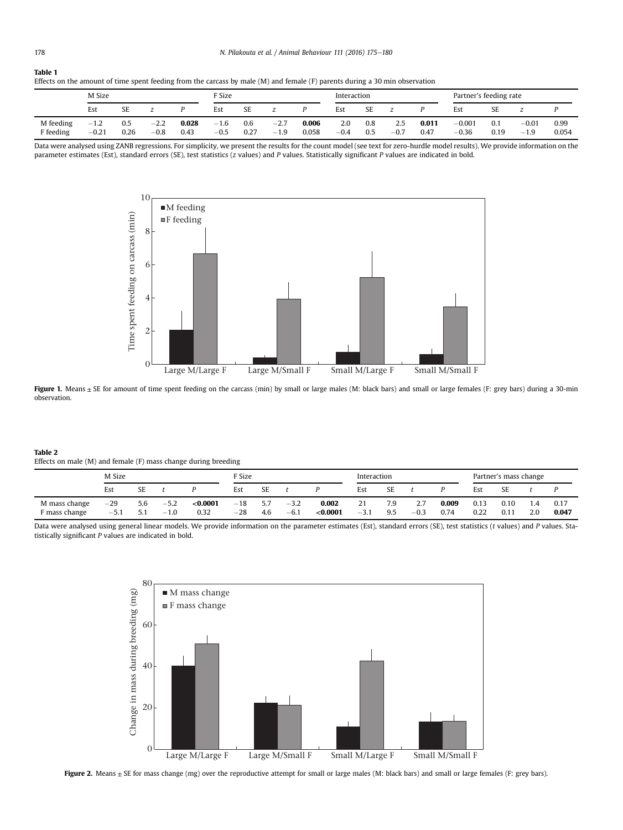# <span id="page-3-0"></span>Table 1

| Effects on the amount of time spent feeding from the carcass by male $(M)$ and female $(F)$ parents during a 30 min observation |  |  |  |
|---------------------------------------------------------------------------------------------------------------------------------|--|--|--|
|---------------------------------------------------------------------------------------------------------------------------------|--|--|--|

|                        | M Size            |             |                  |               |                  | F Size      |                  |                |               | Interaction |               |               |                     | Partner's feeding rate |                   |               |  |  |
|------------------------|-------------------|-------------|------------------|---------------|------------------|-------------|------------------|----------------|---------------|-------------|---------------|---------------|---------------------|------------------------|-------------------|---------------|--|--|
|                        | Est               | <b>SE</b>   |                  |               | Est              | SE          |                  |                | Est           | SE          |               |               | Est                 | <b>SE</b>              |                   |               |  |  |
| M feeding<br>F feeding | $-1.2$<br>$-0.21$ | 0.5<br>0.26 | $-2.2$<br>$-0.8$ | 0.028<br>0.43 | $-1.6$<br>$-0.5$ | 0.6<br>0.27 | $-2.7$<br>$-1.9$ | 0.006<br>0.058 | 2.0<br>$-0.4$ | 0.8<br>0.5  | 2.5<br>$-0.7$ | 0.011<br>0.47 | $-0.001$<br>$-0.36$ | 0.1<br>0.19            | $-0.01$<br>$-1.9$ | 0.99<br>0.054 |  |  |

Data were analysed using ZANB regressions. For simplicity, we present the results for the count model (see text for zero-hurdle model results). We provide information on the parameter estimates (Est), standard errors (SE), test statistics (z values) and P values. Statistically significant P values are indicated in bold.





# Table 2

Effects on male (M) and female (F) mass change during breeding

|               | M Size |     | F Size |          |       |           | Interaction |          |        |     | Partner's mass change |       |      |      |  |               |
|---------------|--------|-----|--------|----------|-------|-----------|-------------|----------|--------|-----|-----------------------|-------|------|------|--|---------------|
|               | Est    | ЪE  |        |          | Est   | <b>SE</b> |             |          | Est    | SE  |                       |       | Est  | SE   |  |               |
| M mass change | $-29$  | 5.6 | $-5.2$ | < 0.0001 | $-18$ | 5.7       | $-3.2$      | 0.002    | 21     | 7.9 | 2.7                   | 0.009 | 0.13 | 0.10 |  | $0.1^{\circ}$ |
| F mass change | $-5.1$ | 5.1 | $-1.0$ | 0.32     | $-28$ | 4.6       | $-6.1$      | < 0.0001 | $-3.1$ | 9.5 | $-0.3$                | 0.74  | 0.22 | 0.11 |  | 0.047         |

Data were analysed using general linear models. We provide information on the parameter estimates (Est), standard errors (SE), test statistics (t values) and P values. Statistically significant P values are indicated in bold.



Figure 2. Means ± SE for mass change (mg) over the reproductive attempt for small or large males (M: black bars) and small or large females (F: grey bars).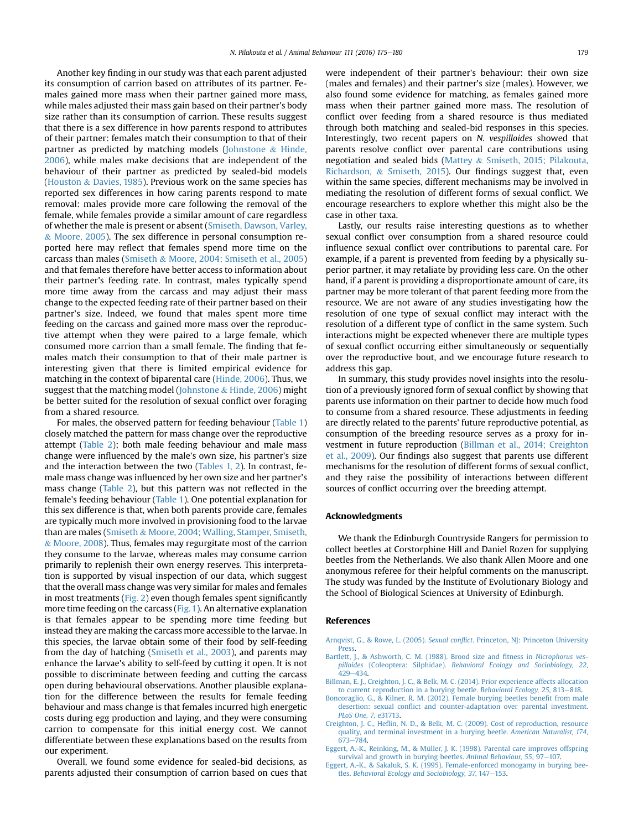<span id="page-4-0"></span>Another key finding in our study was that each parent adjusted its consumption of carrion based on attributes of its partner. Females gained more mass when their partner gained more mass, while males adjusted their mass gain based on their partner's body size rather than its consumption of carrion. These results suggest that there is a sex difference in how parents respond to attributes of their partner: females match their consumption to that of their partner as predicted by matching models ([Johnstone](#page-5-0)  $\&$  [Hinde,](#page-5-0) [2006](#page-5-0)), while males make decisions that are independent of the behaviour of their partner as predicted by sealed-bid models ([Houston](#page-5-0) & [Davies, 1985\)](#page-5-0). Previous work on the same species has reported sex differences in how caring parents respond to mate removal: males provide more care following the removal of the female, while females provide a similar amount of care regardless of whether the male is present or absent ([Smiseth, Dawson, Varley,](#page-5-0) & [Moore, 2005](#page-5-0)). The sex difference in personal consumption reported here may reflect that females spend more time on the carcass than males ([Smiseth](#page-5-0) & [Moore, 2004; Smiseth et al., 2005\)](#page-5-0) and that females therefore have better access to information about their partner's feeding rate. In contrast, males typically spend more time away from the carcass and may adjust their mass change to the expected feeding rate of their partner based on their partner's size. Indeed, we found that males spent more time feeding on the carcass and gained more mass over the reproductive attempt when they were paired to a large female, which consumed more carrion than a small female. The finding that females match their consumption to that of their male partner is interesting given that there is limited empirical evidence for matching in the context of biparental care [\(Hinde, 2006\)](#page-5-0). Thus, we suggest that the matching model [\(Johnstone](#page-5-0) & [Hinde, 2006](#page-5-0)) might be better suited for the resolution of sexual conflict over foraging from a shared resource.

For males, the observed pattern for feeding behaviour ([Table 1\)](#page-3-0) closely matched the pattern for mass change over the reproductive attempt [\(Table 2\)](#page-3-0); both male feeding behaviour and male mass change were influenced by the male's own size, his partner's size and the interaction between the two ([Tables 1, 2\)](#page-3-0). In contrast, female mass change was influenced by her own size and her partner's mass change [\(Table 2](#page-3-0)), but this pattern was not reflected in the female's feeding behaviour [\(Table 1\)](#page-3-0). One potential explanation for this sex difference is that, when both parents provide care, females are typically much more involved in provisioning food to the larvae than are males ([Smiseth](#page-5-0) & [Moore, 2004; Walling, Stamper, Smiseth,](#page-5-0) & [Moore, 2008\)](#page-5-0). Thus, females may regurgitate most of the carrion they consume to the larvae, whereas males may consume carrion primarily to replenish their own energy reserves. This interpretation is supported by visual inspection of our data, which suggest that the overall mass change was very similar for males and females in most treatments [\(Fig. 2](#page-3-0)) even though females spent significantly more time feeding on the carcass [\(Fig. 1](#page-3-0)). An alternative explanation is that females appear to be spending more time feeding but instead they are making the carcass more accessible to the larvae. In this species, the larvae obtain some of their food by self-feeding from the day of hatching ([Smiseth et al., 2003\)](#page-5-0), and parents may enhance the larvae's ability to self-feed by cutting it open. It is not possible to discriminate between feeding and cutting the carcass open during behavioural observations. Another plausible explanation for the difference between the results for female feeding behaviour and mass change is that females incurred high energetic costs during egg production and laying, and they were consuming carrion to compensate for this initial energy cost. We cannot differentiate between these explanations based on the results from our experiment.

Overall, we found some evidence for sealed-bid decisions, as parents adjusted their consumption of carrion based on cues that were independent of their partner's behaviour: their own size (males and females) and their partner's size (males). However, we also found some evidence for matching, as females gained more mass when their partner gained more mass. The resolution of conflict over feeding from a shared resource is thus mediated through both matching and sealed-bid responses in this species. Interestingly, two recent papers on N. vespilloides showed that parents resolve conflict over parental care contributions using negotiation and sealed bids [\(Mattey](#page-5-0) & [Smiseth, 2015; Pilakouta,](#page-5-0) [Richardson,](#page-5-0) & [Smiseth, 2015](#page-5-0)). Our findings suggest that, even within the same species, different mechanisms may be involved in mediating the resolution of different forms of sexual conflict. We encourage researchers to explore whether this might also be the case in other taxa.

Lastly, our results raise interesting questions as to whether sexual conflict over consumption from a shared resource could influence sexual conflict over contributions to parental care. For example, if a parent is prevented from feeding by a physically superior partner, it may retaliate by providing less care. On the other hand, if a parent is providing a disproportionate amount of care, its partner may be more tolerant of that parent feeding more from the resource. We are not aware of any studies investigating how the resolution of one type of sexual conflict may interact with the resolution of a different type of conflict in the same system. Such interactions might be expected whenever there are multiple types of sexual conflict occurring either simultaneously or sequentially over the reproductive bout, and we encourage future research to address this gap.

In summary, this study provides novel insights into the resolution of a previously ignored form of sexual conflict by showing that parents use information on their partner to decide how much food to consume from a shared resource. These adjustments in feeding are directly related to the parents' future reproductive potential, as consumption of the breeding resource serves as a proxy for investment in future reproduction (Billman et al., 2014; Creighton et al., 2009). Our findings also suggest that parents use different mechanisms for the resolution of different forms of sexual conflict, and they raise the possibility of interactions between different sources of conflict occurring over the breeding attempt.

#### Acknowledgments

We thank the Edinburgh Countryside Rangers for permission to collect beetles at Corstorphine Hill and Daniel Rozen for supplying beetles from the Netherlands. We also thank Allen Moore and one anonymous referee for their helpful comments on the manuscript. The study was funded by the Institute of Evolutionary Biology and the School of Biological Sciences at University of Edinburgh.

#### References

- Arnqvist, G., & Rowe, L. (2005). Sexual conflict[. Princeton, NJ: Princeton University](http://refhub.elsevier.com/S0003-3472(15)00388-7/sref1) **[Press](http://refhub.elsevier.com/S0003-3472(15)00388-7/sref1)**
- [Bartlett, J., & Ashworth, C. M. \(1988\). Brood size and](http://refhub.elsevier.com/S0003-3472(15)00388-7/sref2) fitness in Nicrophorus vespilloides (Coleoptera: Silphidae). [Behavioral Ecology and Sociobiology, 22](http://refhub.elsevier.com/S0003-3472(15)00388-7/sref2),  $429 - 434$  $429 - 434$  $429 - 434$ .
- [Billman, E. J., Creighton, J. C., & Belk, M. C. \(2014\). Prior experience affects allocation](http://refhub.elsevier.com/S0003-3472(15)00388-7/sref3) [to current reproduction in a burying beetle.](http://refhub.elsevier.com/S0003-3472(15)00388-7/sref3) Behavioral Ecology, 25, 813-[818.](http://refhub.elsevier.com/S0003-3472(15)00388-7/sref3)
- [Boncoraglio, G., & Kilner, R. M. \(2012\). Female burying beetles bene](http://refhub.elsevier.com/S0003-3472(15)00388-7/sref4)fit from male desertion: sexual confl[ict and counter-adaptation over parental investment.](http://refhub.elsevier.com/S0003-3472(15)00388-7/sref4) [PLoS One, 7](http://refhub.elsevier.com/S0003-3472(15)00388-7/sref4), e31713.
- Creighton, J. C., Hefl[in, N. D., & Belk, M. C. \(2009\). Cost of reproduction, resource](http://refhub.elsevier.com/S0003-3472(15)00388-7/sref5) [quality, and terminal investment in a burying beetle.](http://refhub.elsevier.com/S0003-3472(15)00388-7/sref5) American Naturalist, 174, [673](http://refhub.elsevier.com/S0003-3472(15)00388-7/sref5)-[784.](http://refhub.elsevier.com/S0003-3472(15)00388-7/sref5)
- [Eggert, A.-K., Reinking, M., & Müller, J. K. \(1998\). Parental care improves offspring](http://refhub.elsevier.com/S0003-3472(15)00388-7/sref6) [survival and growth in burying beetles.](http://refhub.elsevier.com/S0003-3472(15)00388-7/sref6) Animal Behaviour, 55, 97-[107.](http://refhub.elsevier.com/S0003-3472(15)00388-7/sref6)
- [Eggert, A.-K., & Sakaluk, S. K. \(1995\). Female-enforced monogamy in burying bee-](http://refhub.elsevier.com/S0003-3472(15)00388-7/sref7)tles. [Behavioral Ecology and Sociobiology, 37](http://refhub.elsevier.com/S0003-3472(15)00388-7/sref7), 147-[153](http://refhub.elsevier.com/S0003-3472(15)00388-7/sref7).